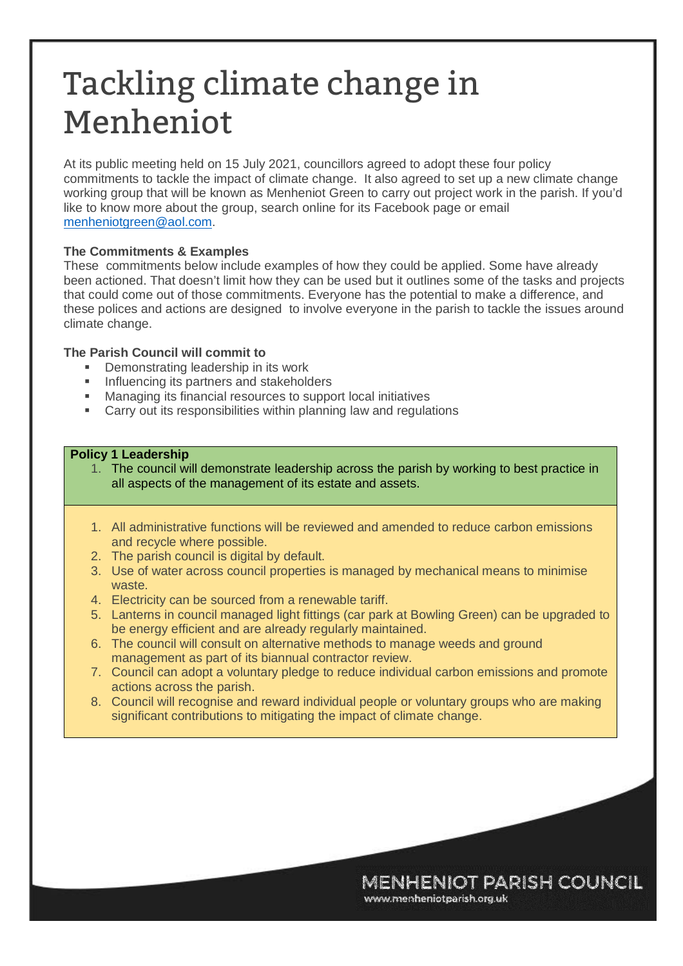# Tackling climate change in Menheniot

At its public meeting held on 15 July 2021, councillors agreed to adopt these four policy commitments to tackle the impact of climate change. It also agreed to set up a new climate change working group that will be known as Menheniot Green to carry out project work in the parish. If you'd like to know more about the group, search online for its Facebook page or email menheniotgreen@aol.com.

# **The Commitments & Examples**

These commitments below include examples of how they could be applied. Some have already been actioned. That doesn't limit how they can be used but it outlines some of the tasks and projects that could come out of those commitments. Everyone has the potential to make a difference, and these polices and actions are designed to involve everyone in the parish to tackle the issues around climate change.

## **The Parish Council will commit to**

- **Demonstrating leadership in its work**
- **Influencing its partners and stakeholders**
- Managing its financial resources to support local initiatives
- Carry out its responsibilities within planning law and regulations

## **Policy 1 Leadership**

- 1. The council will demonstrate leadership across the parish by working to best practice in all aspects of the management of its estate and assets.
- 1. All administrative functions will be reviewed and amended to reduce carbon emissions and recycle where possible.
- 2. The parish council is digital by default.
- 3. Use of water across council properties is managed by mechanical means to minimise waste.
- 4. Electricity can be sourced from a renewable tariff.
- 5. Lanterns in council managed light fittings (car park at Bowling Green) can be upgraded to be energy efficient and are already regularly maintained.
- 6. The council will consult on alternative methods to manage weeds and ground management as part of its biannual contractor review.
- 7. Council can adopt a voluntary pledge to reduce individual carbon emissions and promote actions across the parish.
- 8. Council will recognise and reward individual people or voluntary groups who are making significant contributions to mitigating the impact of climate change.

**MENHENIOT PARISH COUNCIL** 

www.menheniotparish.org.uk